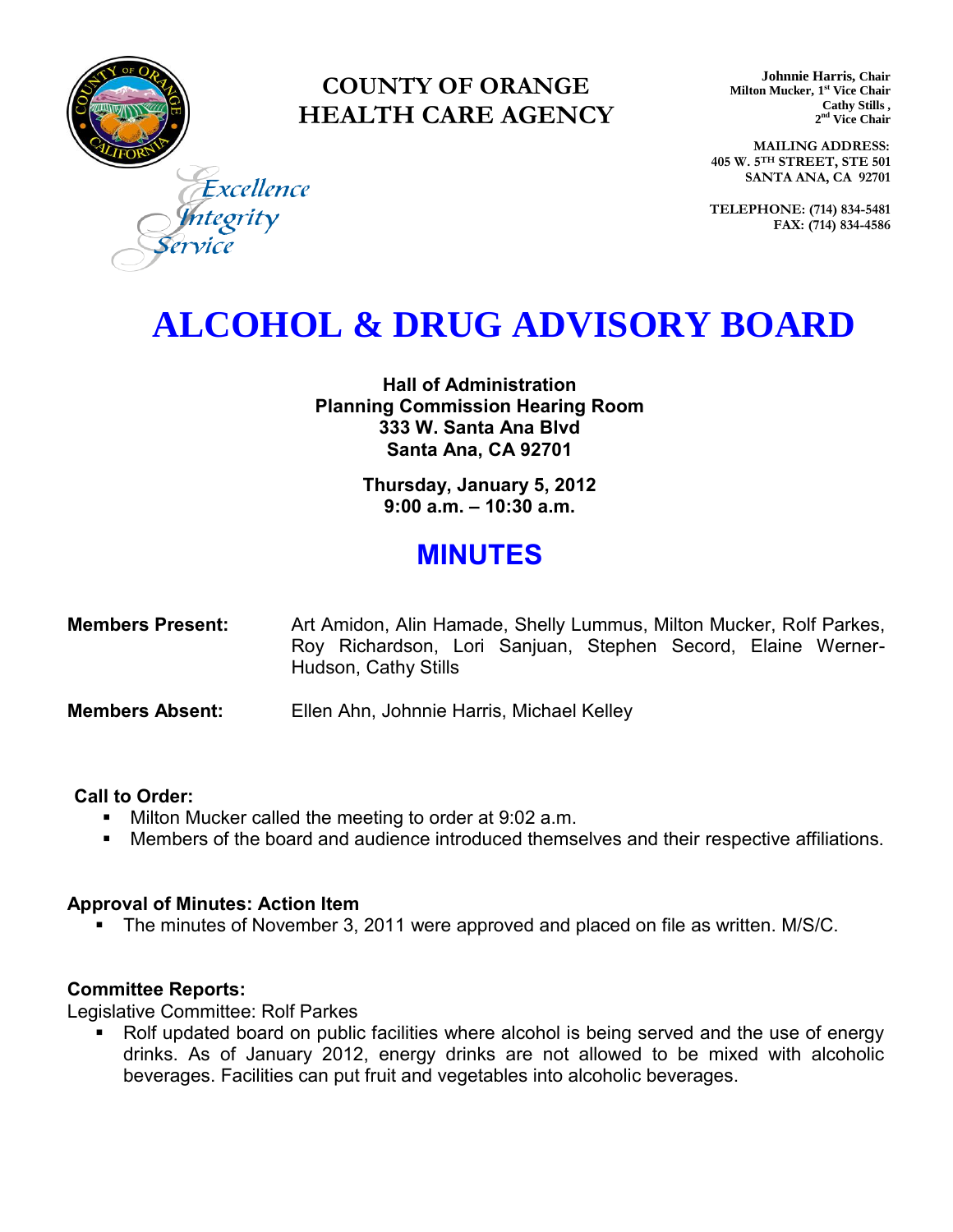

### **COUNTY OF ORANGE HEALTH CARE AGENCY**

**Johnnie Harris, Chair Milton Mucker, 1 st Vice Chair Cathy Stills , 2 nd Vice Chair**

**MAILING ADDRESS: 405 W. 5TH STREET, STE 501 SANTA ANA, CA 92701**

**TELEPHONE: (714) 834-5481 FAX: (714) 834-4586**

Excellence tegrity

## **ALCOHOL & DRUG ADVISORY BOARD**

**Hall of Administration Planning Commission Hearing Room 333 W. Santa Ana Blvd Santa Ana, CA 92701** 

> **Thursday, January 5, 2012 9:00 a.m. – 10:30 a.m.**

### **MINUTES**

| <b>Members Present:</b> |                      | Art Amidon, Alin Hamade, Shelly Lummus, Milton Mucker, Rolf Parkes, |  |  |  |  |  |  |
|-------------------------|----------------------|---------------------------------------------------------------------|--|--|--|--|--|--|
|                         |                      | Roy Richardson, Lori Sanjuan, Stephen Secord, Elaine Werner-        |  |  |  |  |  |  |
|                         | Hudson, Cathy Stills |                                                                     |  |  |  |  |  |  |

**Members Absent:** Ellen Ahn, Johnnie Harris, Michael Kelley

#### **Call to Order:**

- **Milton Mucker called the meeting to order at 9:02 a.m.**
- Members of the board and audience introduced themselves and their respective affiliations.

### **Approval of Minutes: Action Item**

**The minutes of November 3, 2011 were approved and placed on file as written. M/S/C.** 

### **Committee Reports:**

Legislative Committee: Rolf Parkes

 Rolf updated board on public facilities where alcohol is being served and the use of energy drinks. As of January 2012, energy drinks are not allowed to be mixed with alcoholic beverages. Facilities can put fruit and vegetables into alcoholic beverages.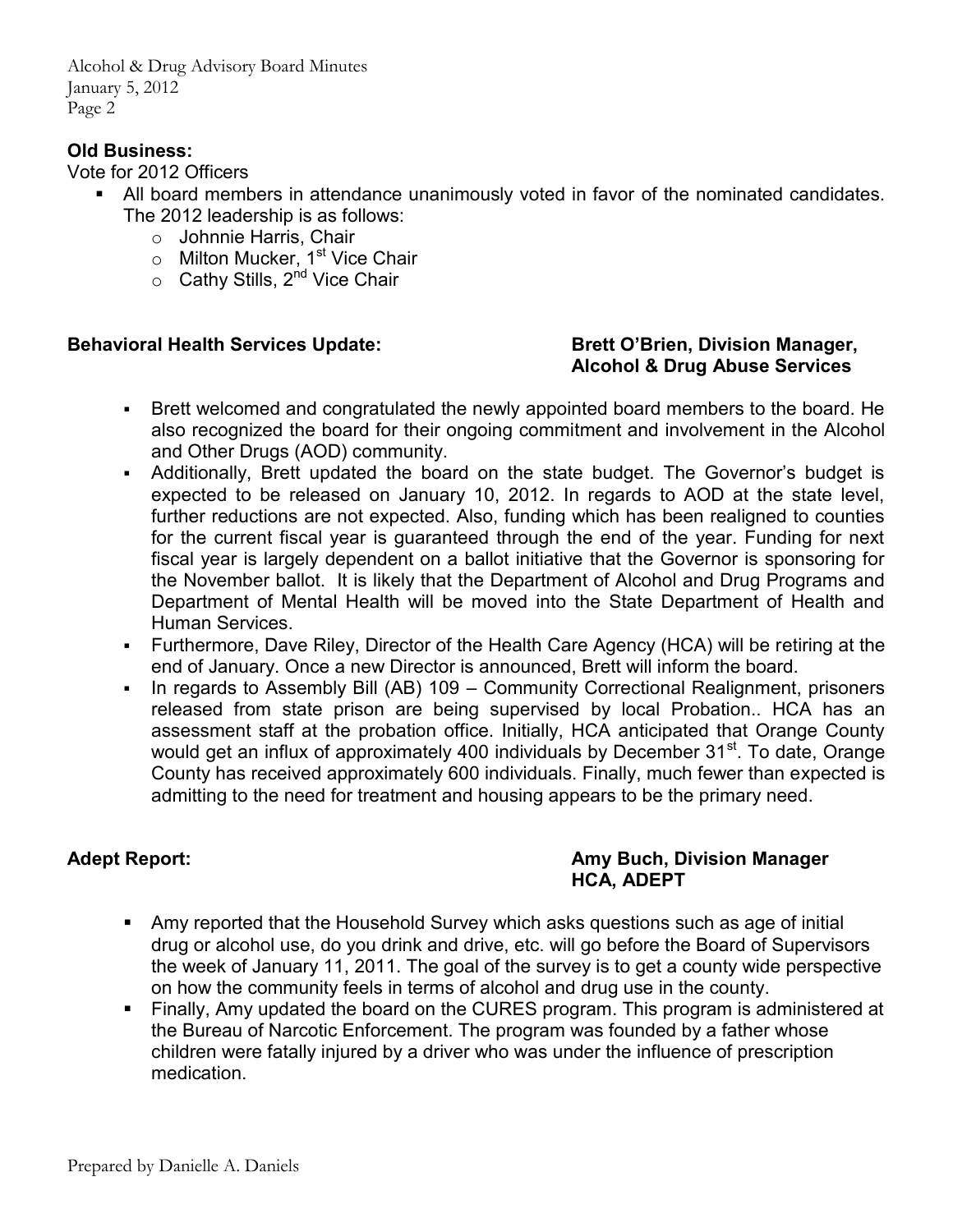Alcohol & Drug Advisory Board Minutes January 5, 2012 Page 2

### **Old Business:**

Vote for 2012 Officers

- All board members in attendance unanimously voted in favor of the nominated candidates. The 2012 leadership is as follows:
	- o Johnnie Harris, Chair
	- o Milton Mucker, 1<sup>st</sup> Vice Chair
	- $\circ$  Cathy Stills, 2<sup>nd</sup> Vice Chair

### **Behavioral Health Services Update: Brett O'Brien, Division Manager,** *Brett O'Brien***, Division Manager,**

# **Alcohol & Drug Abuse Services**

- Brett welcomed and congratulated the newly appointed board members to the board. He also recognized the board for their ongoing commitment and involvement in the Alcohol and Other Drugs (AOD) community.
- Additionally, Brett updated the board on the state budget. The Governor's budget is expected to be released on January 10, 2012. In regards to AOD at the state level, further reductions are not expected. Also, funding which has been realigned to counties for the current fiscal year is guaranteed through the end of the year. Funding for next fiscal year is largely dependent on a ballot initiative that the Governor is sponsoring for the November ballot. It is likely that the Department of Alcohol and Drug Programs and Department of Mental Health will be moved into the State Department of Health and Human Services.
- Furthermore, Dave Riley, Director of the Health Care Agency (HCA) will be retiring at the end of January. Once a new Director is announced, Brett will inform the board.
- In regards to Assembly Bill (AB) 109 Community Correctional Realignment, prisoners released from state prison are being supervised by local Probation.. HCA has an assessment staff at the probation office. Initially, HCA anticipated that Orange County would get an influx of approximately 400 individuals by December 31<sup>st</sup>. To date, Orange County has received approximately 600 individuals. Finally, much fewer than expected is admitting to the need for treatment and housing appears to be the primary need.

### Adept Report: **Amy Buch, Division Manager Amy Buch, Division Manager HCA, ADEPT**

- Amy reported that the Household Survey which asks questions such as age of initial drug or alcohol use, do you drink and drive, etc. will go before the Board of Supervisors the week of January 11, 2011. The goal of the survey is to get a county wide perspective on how the community feels in terms of alcohol and drug use in the county.
- Finally, Amy updated the board on the CURES program. This program is administered at the Bureau of Narcotic Enforcement. The program was founded by a father whose children were fatally injured by a driver who was under the influence of prescription medication.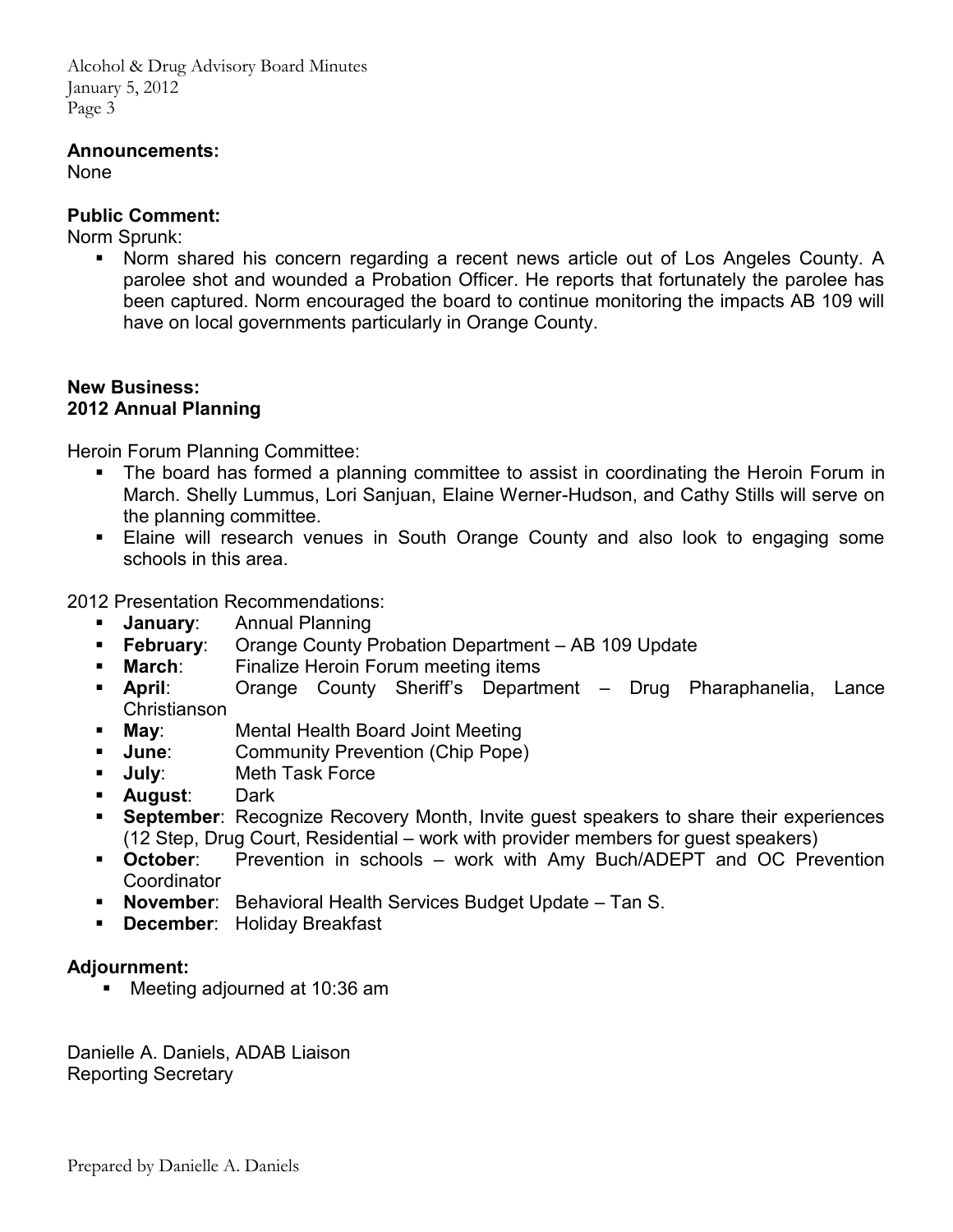Alcohol & Drug Advisory Board Minutes January 5, 2012 Page 3

### **Announcements:**

None

### **Public Comment:**

Norm Sprunk:

 Norm shared his concern regarding a recent news article out of Los Angeles County. A parolee shot and wounded a Probation Officer. He reports that fortunately the parolee has been captured. Norm encouraged the board to continue monitoring the impacts AB 109 will have on local governments particularly in Orange County.

### **New Business: 2012 Annual Planning**

Heroin Forum Planning Committee:

- The board has formed a planning committee to assist in coordinating the Heroin Forum in March. Shelly Lummus, Lori Sanjuan, Elaine Werner-Hudson, and Cathy Stills will serve on the planning committee.
- Elaine will research venues in South Orange County and also look to engaging some schools in this area.

2012 Presentation Recommendations:

- **January**: Annual Planning
- **February**: Orange County Probation Department AB 109 Update
- **March:** Finalize Heroin Forum meeting items
- **April**: Orange County Sheriff's Department Drug Pharaphanelia, Lance Christianson<br>**Mav**:
- **May**: Mental Health Board Joint Meeting
- **June:** Community Prevention (Chip Pope)
- **July**: Meth Task Force<br> **August**: Dark
- **August:**
- **September**: Recognize Recovery Month, Invite guest speakers to share their experiences (12 Step, Drug Court, Residential – work with provider members for guest speakers)
- **October**: Prevention in schools work with Amy Buch/ADEPT and OC Prevention **Coordinator**
- **November**: Behavioral Health Services Budget Update Tan S.
- **December**: Holiday Breakfast

### **Adjournment:**

Meeting adjourned at 10:36 am

Danielle A. Daniels, ADAB Liaison Reporting Secretary